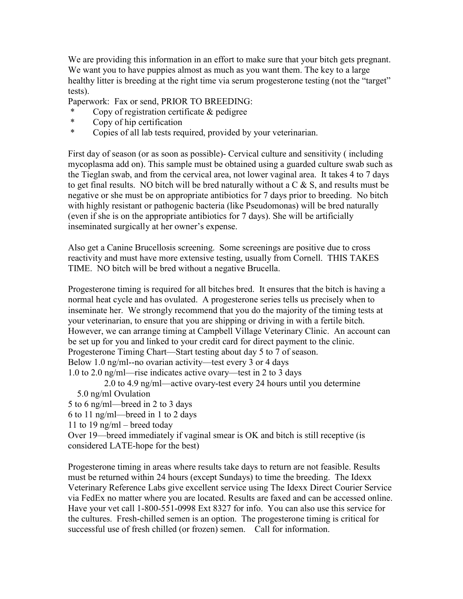We are providing this information in an effort to make sure that your bitch gets pregnant. We want you to have puppies almost as much as you want them. The key to a large healthy litter is breeding at the right time via serum progesterone testing (not the "target" tests).

Paperwork: Fax or send, PRIOR TO BREEDING:

- Copy of registration certificate  $&$  pedigree
- \* Copy of hip certification
- \* Copies of all lab tests required, provided by your veterinarian.

First day of season (or as soon as possible)- Cervical culture and sensitivity ( including mycoplasma add on). This sample must be obtained using a guarded culture swab such as the Tieglan swab, and from the cervical area, not lower vaginal area. It takes 4 to 7 days to get final results. NO bitch will be bred naturally without a  $C \& S$ , and results must be negative or she must be on appropriate antibiotics for 7 days prior to breeding. No bitch with highly resistant or pathogenic bacteria (like Pseudomonas) will be bred naturally (even if she is on the appropriate antibiotics for 7 days). She will be artificially inseminated surgically at her owner's expense.

Also get a Canine Brucellosis screening. Some screenings are positive due to cross reactivity and must have more extensive testing, usually from Cornell. THIS TAKES TIME. NO bitch will be bred without a negative Brucella.

Progesterone timing is required for all bitches bred. It ensures that the bitch is having a normal heat cycle and has ovulated. A progesterone series tells us precisely when to inseminate her. We strongly recommend that you do the majority of the timing tests at your veterinarian, to ensure that you are shipping or driving in with a fertile bitch. However, we can arrange timing at Campbell Village Veterinary Clinic. An account can be set up for you and linked to your credit card for direct payment to the clinic. Progesterone Timing Chart—Start testing about day 5 to 7 of season. Below 1.0 ng/ml--no ovarian activity—test every 3 or 4 days 1.0 to 2.0 ng/ml—rise indicates active ovary—test in 2 to 3 days

 2.0 to 4.9 ng/ml—active ovary-test every 24 hours until you determine 5.0 ng/ml Ovulation

5 to 6 ng/ml—breed in 2 to 3 days

6 to 11 ng/ml—breed in 1 to 2 days

11 to 19 ng/ml – breed today

Over 19—breed immediately if vaginal smear is OK and bitch is still receptive (is considered LATE-hope for the best)

Progesterone timing in areas where results take days to return are not feasible. Results must be returned within 24 hours (except Sundays) to time the breeding. The Idexx Veterinary Reference Labs give excellent service using The Idexx Direct Courier Service via FedEx no matter where you are located. Results are faxed and can be accessed online. Have your vet call 1-800-551-0998 Ext 8327 for info. You can also use this service for the cultures. Fresh-chilled semen is an option. The progesterone timing is critical for successful use of fresh chilled (or frozen) semen. Call for information.